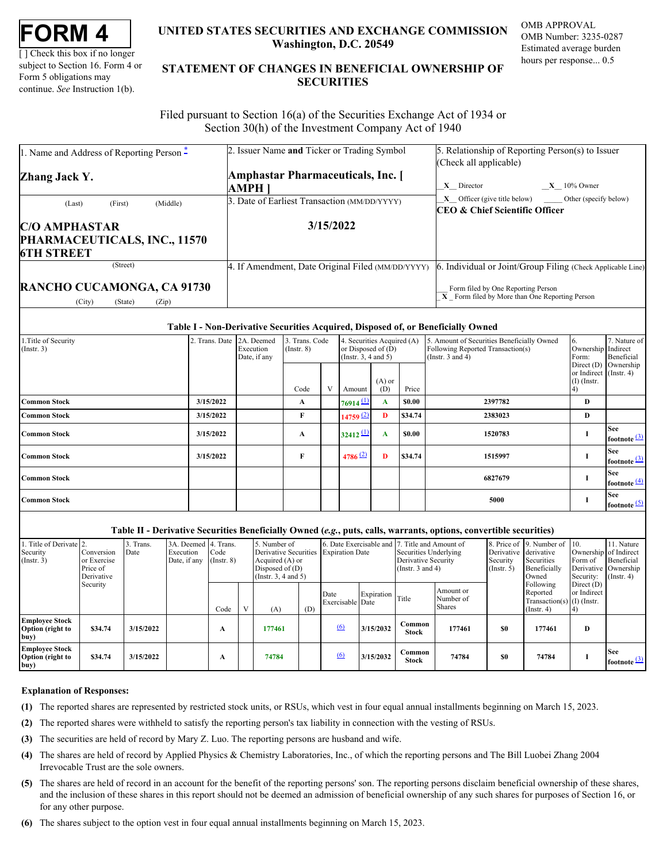| FORM . |  |
|--------|--|
|--------|--|

[ ] Check this box if no longer subject to Section 16. Form 4 or Form 5 obligations may continue. *See* Instruction 1(b).

## **UNITED STATES SECURITIES AND EXCHANGE COMMISSION OMB APPROVAL Washington, D.C. 20549**

OMB Number: 3235-0287 Estimated average burden hours per response... 0.5

# **UNITED STATES SECURITIES AND EXCHANGE COMMISSION**<br>
UNITED STATES SECURITIES AND EXCHANGE COMMISSION<br>
UNERSITY OF SUBJECT AND THE STATEMENT OF CHANGES IN BENEFICIAL OWNERSHIP OF<br>
Form 5 obligations may<br>
continue. See Instr **STATEMENT OF CHANGES IN BENEFICIAL OWNERSHIP OF SECURITIES** TATES SECURITIES AND EXCHANGE COMMISSION OMB APPROVAL<br>Washington, D.C. 20549<br>Estimated average burden<br>ENT OF CHANGES IN BENEFICIAL OWNERSHIP OF<br>SECURITIES

 Filed pursuant to Section 16(a) of the Securities Exchange Act of 1934 or Section 30(h) of the Investment Company Act of 1940

| 1. Name and Address of Reporting Person $\hat{-}$                         | 2. Issuer Name and Ticker or Trading Symbol        | 5. Relationship of Reporting Person(s) to Issuer<br>(Check all applicable)                                                                                               |
|---------------------------------------------------------------------------|----------------------------------------------------|--------------------------------------------------------------------------------------------------------------------------------------------------------------------------|
| Zhang Jack Y.                                                             | <b>Amphastar Pharmaceuticals, Inc.</b> [<br>AMPH 1 | $X = 10\%$ Owner<br>$X$ Director                                                                                                                                         |
| (Middle)<br>(Last)<br>(First)                                             | 3. Date of Earliest Transaction (MM/DD/YYYY)       | $X$ Officer (give title below) Other (specify below)<br>CEO & Chief Scientific Officer                                                                                   |
| <b>C/O AMPHASTAR</b><br>PHARMACEUTICALS, INC., 11570<br><b>6TH STREET</b> | 3/15/2022                                          |                                                                                                                                                                          |
| (Street)<br>RANCHO CUCAMONGA, CA 91730                                    | 4. If Amendment, Date Original Filed (MM/DD/YYYY)  | Individual or Joint/Group Filing (Check Applicable Line)<br><b>EVALUATE:</b> Form filed by One Reporting Person<br><b>X</b> Form filed by More than One Reporting Person |

### **Table I - Non-Derivative Securities Acquired, Disposed of, or Beneficially Owned**

| 1. Title of Security<br>$($ Instr. 3 $)$ | 2. Trans. Date 2A. Deemed | Execution<br>Date, if any | . Trans. Code<br>$($ Instr. $8)$ | 4. Securities Acquired (A)<br>or Disposed of (D)<br>(Instr. $3, 4$ and $5$ ) |                 |         | 5. Amount of Securities Beneficially Owned<br>Following Reported Transaction(s)<br>(Instr. $3$ and $4$ ) | Ownership Indirect<br>Form:             | 7. Nature of<br>Beneficial             |
|------------------------------------------|---------------------------|---------------------------|----------------------------------|------------------------------------------------------------------------------|-----------------|---------|----------------------------------------------------------------------------------------------------------|-----------------------------------------|----------------------------------------|
|                                          |                           |                           | Code                             | Amount                                                                       | $(A)$ or<br>(D) | Price   |                                                                                                          | or Indirect (Instr. 4)<br>$(I)$ (Instr. | Direct $(D)$ Ownership                 |
| <b>Common Stock</b>                      | 3/15/2022                 |                           | A                                | $76914$ $\underline{11}$                                                     | A               | \$0.00  | 2397782                                                                                                  | D                                       |                                        |
| <b>Common Stock</b>                      | 3/15/2022                 |                           |                                  | 14759 (2)                                                                    | D               | \$34.74 | 2383023                                                                                                  | D                                       |                                        |
| <b>Common Stock</b>                      | 3/15/2022                 |                           | A                                | $32412$ <sup>(1)</sup>                                                       | A               | \$0.00  | 1520783                                                                                                  |                                         | <b>See</b><br>footnote <sup>[3]</sup>  |
| <b>Common Stock</b>                      | 3/15/2022                 |                           | m.                               | 4786 $(2)$                                                                   | D               | \$34.74 | 1515997                                                                                                  |                                         | <b>See</b><br>footnote <sup>(3)</sup>  |
| <b>Common Stock</b>                      |                           |                           |                                  |                                                                              |                 |         | 6827679                                                                                                  |                                         | <b>See</b><br>footnote $\frac{(4)}{4}$ |
| <b>Common Stock</b>                      |                           |                           |                                  |                                                                              |                 |         | 5000                                                                                                     |                                         | <b>See</b><br>footnote (5)             |

### **Table II - Derivative Securities Beneficially Owned (***e.g.***, puts, calls, warrants, options, convertible securities)**

| 1. Title of Derivate 2.<br>Security<br>(Insert. 3)       | Conversion<br>or Exercise<br>Price of<br>Derivative | Trans.<br>Date | 3A. Deemed 4. Trans.<br>Execution<br>Date, if any | Code<br>$($ Instr. $8)$ | 5. Number of<br>Derivative Securities Expiration Date<br>Acquired (A) or<br>Disposed of $(D)$<br>(Instr. $3, 4$ and $5$ ) |     |                          |            | 6. Date Exercisable and 7. Title and Amount of<br>Securities Underlying<br>Derivative Security<br>(Instr. $3$ and $4$ ) |                                  | Derivative derivative<br>Security<br>(Insert. 5) | 8. Price of 9. Number of 10.<br>Securities<br>Beneficially<br>Owned | Ownership of Indirect<br>Form of<br>Security: | 11. Nature<br>Beneficial<br>Derivative Ownership<br>$($ Instr. 4 $)$ |
|----------------------------------------------------------|-----------------------------------------------------|----------------|---------------------------------------------------|-------------------------|---------------------------------------------------------------------------------------------------------------------------|-----|--------------------------|------------|-------------------------------------------------------------------------------------------------------------------------|----------------------------------|--------------------------------------------------|---------------------------------------------------------------------|-----------------------------------------------|----------------------------------------------------------------------|
|                                                          | Security                                            |                |                                                   | Code                    | (A)                                                                                                                       | (D) | Date<br>Exercisable Date | Expiration | Title                                                                                                                   | Amount or<br>Number of<br>Shares |                                                  | Following<br>Reported<br>Transaction(s) $(I)$ (Instr.<br>(Instr. 4) | Direct $(D)$<br>or Indirect                   |                                                                      |
| <b>Employee Stock</b><br>Option (right to<br>buy)        | \$34.74                                             | 3/15/2022      |                                                   |                         | 177461                                                                                                                    |     | (6)                      | 3/15/2032  | Common<br><b>Stock</b>                                                                                                  | 177461                           | \$0                                              | 177461                                                              | D                                             |                                                                      |
| <b>Employee Stock</b><br><b>Option</b> (right to<br>buy) | \$34.74                                             | 3/15/2022      |                                                   |                         | 74784                                                                                                                     |     | $\underline{(6)}$        | 3/15/2032  | Common<br><b>Stock</b>                                                                                                  | 74784                            | \$0                                              | 74784                                                               |                                               | <b>See</b><br>footnote $\mathbf{P}$                                  |

#### **Explanation of Responses:**

- <span id="page-0-0"></span>**(1)** The reported shares are represented by restricted stock units, or RSUs, which vest in four equal annual installments beginning on March 15, 2023.
- <span id="page-0-1"></span>**(2)** The reported shares were withheld to satisfy the reporting person's tax liability in connection with the vesting of RSUs.
- <span id="page-0-2"></span>**(3)** The securities are held of record by Mary Z. Luo. The reporting persons are husband and wife.
- <span id="page-0-3"></span>**(4)** The shares are held of record by Applied Physics & Chemistry Laboratories, Inc., of which the reporting persons and The Bill Luobei Zhang 2004 Irrevocable Trust are the sole owners.
- <span id="page-0-4"></span>**(5)** The shares are held of record in an account for the benefit of the reporting persons' son. The reporting persons disclaim beneficial ownership of these shares, and the inclusion of these shares in this report should not be deemed an admission of beneficial ownership of any such shares for purposes of Section 16, or for any other purpose.
- <span id="page-0-5"></span>**(6)** The shares subject to the option vest in four equal annual installments beginning on March 15, 2023.